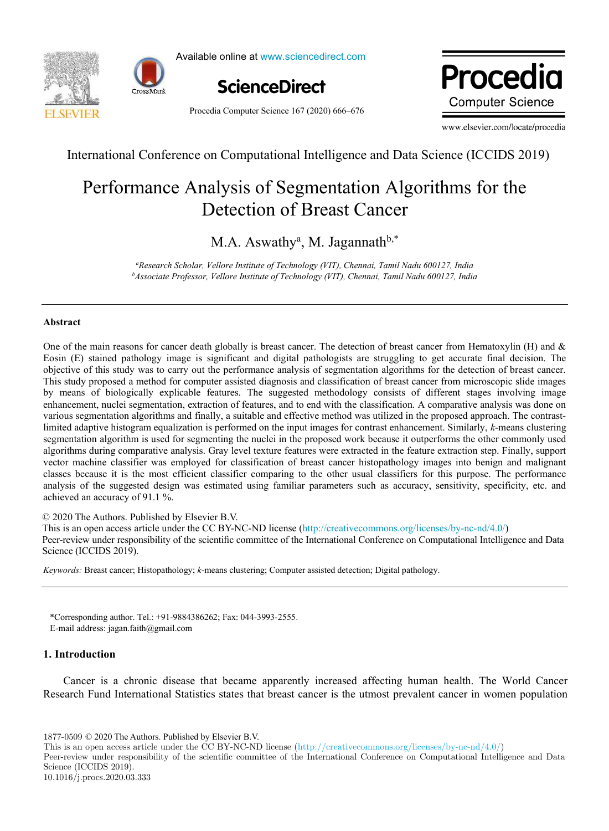



Available online at www.sciencedirect.com



Procedia Computer Science 167 (2020) 666–676

Procedia **Computer Science** 

www.elsevier.com/locate/procedia

International Conference on Computational Intelligence and Data Science (ICCIDS 2019)

# Performance Analysis of Segmentation Algorithms for the Detection of Breast Cancer

M.A. Aswathy<sup>a</sup>, M. Jagannath<sup>b,\*</sup>

<sup>a</sup>Research Scholar, Vellore Institute of Technology (VIT), Chennai, Tamil Nadu 600127, India <sup>b</sup>Associate Professor, Vellore Institute of Technology (VIT), Chennai, Tamil Nadu 600127, India

## Abstract

One of the main reasons for cancer death globally is breast cancer. The detection of breast cancer from Hematoxylin (H) and  $\&$ Eosin (E) stained pathology image is significant and digital pathologists are struggling to get accurate final decision. The objective of this study was to carry out the performance analysis of segmentation algorithms for the detection of breast cancer. This study proposed a method for computer assisted diagnosis and classification of breast cancer from microscopic slide images by means of biologically explicable features. The suggested methodology consists of different stages involving image enhancement, nuclei segmentation, extraction of features, and to end with the classification. A comparative analysis was done on various segmentation algorithms and finally, a suitable and effective method was utilized in the proposed approach. The contrastlimited adaptive histogram equalization is performed on the input images for contrast enhancement. Similarly, k-means clustering segmentation algorithm is used for segmenting the nuclei in the proposed work because it outperforms the other commonly used algorithms during comparative analysis. Gray level texture features were extracted in the feature extraction step. Finally, support vector machine classifier was employed for classification of breast cancer histopathology images into benign and malignant classes because it is the most efficient classifier comparing to the other usual classifiers for this purpose. The performance analysis of the suggested design was estimated using familiar parameters such as accuracy, sensitivity, specificity, etc. and achieved an accuracy of 91.1 %.

© 2020 The Authors. Published by Elsevier B.V.

This is an open access article under the CC BY-NC-ND license (http://creativecommons.org/licenses/by-nc-nd/4.0/)

Peer-review under responsibility of the scientific committee of the International Conference on Computational Intelligence and Data Science (ICCIDS 2019).

Keywords: Breast cancer; Histopathology; k-means clustering; Computer assisted detection; Digital pathology.

\*Corresponding author. Tel.: +91-9884386262; Fax: 044-3993-2555. E-mail address: jagan.faith@gmail.com

# 1. Introduction

Cancer is a chronic disease that became apparently increased affecting human health. The World Cancer Research Fund International Statistics states that breast cancer is the utmost prevalent cancer in women population

1877-0509 © 2020 The Authors. Published by Elsevier B.V.

This is an open access article under the CC BY-NC-ND license (http://creativecommons.org/licenses/by-nc-nd/4.0/)

Peer-review under responsibility of the scientific committee of the International Conference on Computational Intelligence and Data Science (ICCIDS 2019). 10.1016/j.procs.2020.03.333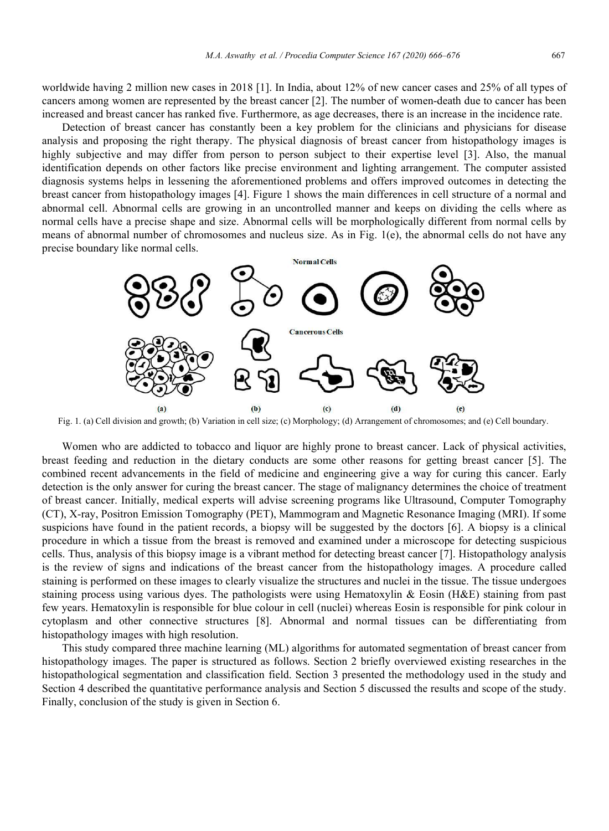worldwide having 2 million new cases in 2018 [1]. In India, about 12% of new cancer cases and 25% of all types of cancers among women are represented by the breast cancer [2]. The number of women-death due to cancer has been increased and breast cancer has ranked five. Furthermore, as age decreases, there is an increase in the incidence rate.

Detection of breast cancer has constantly been a key problem for the clinicians and physicians for disease analysis and proposing the right therapy. The physical diagnosis of breast cancer from histopathology images is highly subjective and may differ from person to person subject to their expertise level [3]. Also, the manual identification depends on other factors like precise environment and lighting arrangement. The computer assisted diagnosis systems helps in lessening the aforementioned problems and offers improved outcomes in detecting the breast cancer from histopathology images [4]. Figure 1 shows the main differences in cell structure of a normal and abnormal cell. Abnormal cells are growing in an uncontrolled manner and keeps on dividing the cells where as normal cells have a precise shape and size. Abnormal cells will be morphologically different from normal cells by means of abnormal number of chromosomes and nucleus size. As in Fig. 1(e), the abnormal cells do not have any precise boundary like normal cells.



Fig. 1. (a) Cell division and growth; (b) Variation in cell size; (c) Morphology; (d) Arrangement of chromosomes; and (e) Cell boundary.

Women who are addicted to tobacco and liquor are highly prone to breast cancer. Lack of physical activities, breast feeding and reduction in the dietary conducts are some other reasons for getting breast cancer [5]. The combined recent advancements in the field of medicine and engineering give a way for curing this cancer. Early detection is the only answer for curing the breast cancer. The stage of malignancy determines the choice of treatment of breast cancer. Initially, medical experts will advise screening programs like Ultrasound, Computer Tomography (CT), X-ray, Positron Emission Tomography (PET), Mammogram and Magnetic Resonance Imaging (MRI). If some suspicions have found in the patient records, a biopsy will be suggested by the doctors [6]. A biopsy is a clinical procedure in which a tissue from the breast is removed and examined under a microscope for detecting suspicious cells. Thus, analysis of this biopsy image is a vibrant method for detecting breast cancer [7]. Histopathology analysis is the review of signs and indications of the breast cancer from the histopathology images. A procedure called staining is performed on these images to clearly visualize the structures and nuclei in the tissue. The tissue undergoes staining process using various dyes. The pathologists were using Hematoxylin & Eosin (H&E) staining from past few years. Hematoxylin is responsible for blue colour in cell (nuclei) whereas Eosin is responsible for pink colour in cytoplasm and other connective structures [8]. Abnormal and normal tissues can be differentiating from histopathology images with high resolution.

This study compared three machine learning (ML) algorithms for automated segmentation of breast cancer from histopathology images. The paper is structured as follows. Section 2 briefly overviewed existing researches in the histopathological segmentation and classification field. Section 3 presented the methodology used in the study and Section 4 described the quantitative performance analysis and Section 5 discussed the results and scope of the study. Finally, conclusion of the study is given in Section 6.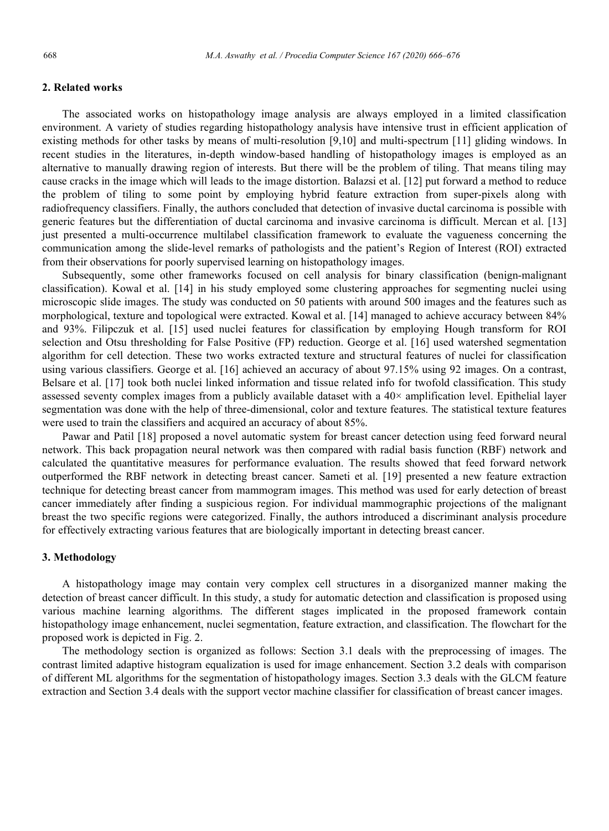# 2. Related works

The associated works on histopathology image analysis are always employed in a limited classification environment. A variety of studies regarding histopathology analysis have intensive trust in efficient application of existing methods for other tasks by means of multi-resolution [9,10] and multi-spectrum [11] gliding windows. In recent studies in the literatures, in-depth window-based handling of histopathology images is employed as an alternative to manually drawing region of interests. But there will be the problem of tiling. That means tiling may cause cracks in the image which will leads to the image distortion. Balazsi et al. [12] put forward a method to reduce the problem of tiling to some point by employing hybrid feature extraction from super-pixels along with radiofrequency classifiers. Finally, the authors concluded that detection of invasive ductal carcinoma is possible with generic features but the differentiation of ductal carcinoma and invasive carcinoma is difficult. Mercan et al. [13] just presented a multi-occurrence multilabel classification framework to evaluate the vagueness concerning the communication among the slide-level remarks of pathologists and the patient's Region of Interest (ROI) extracted from their observations for poorly supervised learning on histopathology images.

Subsequently, some other frameworks focused on cell analysis for binary classification (benign-malignant classification). Kowal et al. [14] in his study employed some clustering approaches for segmenting nuclei using microscopic slide images. The study was conducted on 50 patients with around 500 images and the features such as morphological, texture and topological were extracted. Kowal et al. [14] managed to achieve accuracy between 84% and 93%. Filipczuk et al. [15] used nuclei features for classification by employing Hough transform for ROI selection and Otsu thresholding for False Positive (FP) reduction. George et al. [16] used watershed segmentation algorithm for cell detection. These two works extracted texture and structural features of nuclei for classification using various classifiers. George et al. [16] achieved an accuracy of about 97.15% using 92 images. On a contrast, Belsare et al. [17] took both nuclei linked information and tissue related info for twofold classification. This study assessed seventy complex images from a publicly available dataset with a  $40\times$  amplification level. Epithelial layer segmentation was done with the help of three-dimensional, color and texture features. The statistical texture features were used to train the classifiers and acquired an accuracy of about 85%.

Pawar and Patil [18] proposed a novel automatic system for breast cancer detection using feed forward neural network. This back propagation neural network was then compared with radial basis function (RBF) network and calculated the quantitative measures for performance evaluation. The results showed that feed forward network outperformed the RBF network in detecting breast cancer. Sameti et al. [19] presented a new feature extraction technique for detecting breast cancer from mammogram images. This method was used for early detection of breast cancer immediately after finding a suspicious region. For individual mammographic projections of the malignant breast the two specific regions were categorized. Finally, the authors introduced a discriminant analysis procedure for effectively extracting various features that are biologically important in detecting breast cancer.

## 3. Methodology

A histopathology image may contain very complex cell structures in a disorganized manner making the detection of breast cancer difficult. In this study, a study for automatic detection and classification is proposed using various machine learning algorithms. The different stages implicated in the proposed framework contain histopathology image enhancement, nuclei segmentation, feature extraction, and classification. The flowchart for the proposed work is depicted in Fig. 2.

The methodology section is organized as follows: Section 3.1 deals with the preprocessing of images. The contrast limited adaptive histogram equalization is used for image enhancement. Section 3.2 deals with comparison of different ML algorithms for the segmentation of histopathology images. Section 3.3 deals with the GLCM feature extraction and Section 3.4 deals with the support vector machine classifier for classification of breast cancer images.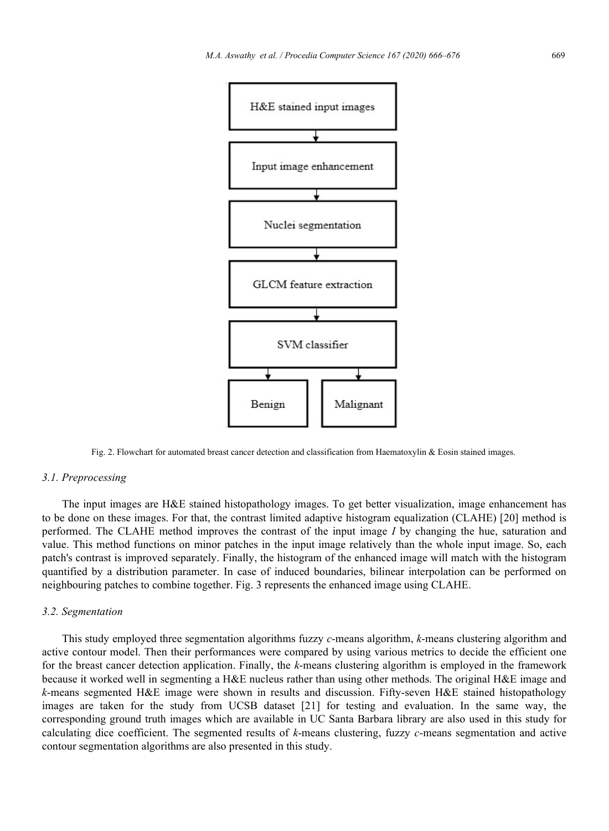

Fig. 2. Flowchart for automated breast cancer detection and classification from Haematoxylin & Eosin stained images.

#### 3.1. Preprocessing

The input images are H&E stained histopathology images. To get better visualization, image enhancement has to be done on these images. For that, the contrast limited adaptive histogram equalization (CLAHE) [20] method is performed. The CLAHE method improves the contrast of the input image  $I$  by changing the hue, saturation and value. This method functions on minor patches in the input image relatively than the whole input image. So, each patch's contrast is improved separately. Finally, the histogram of the enhanced image will match with the histogram quantified by a distribution parameter. In case of induced boundaries, bilinear interpolation can be performed on neighbouring patches to combine together. Fig. 3 represents the enhanced image using CLAHE.

#### 3.2. Segmentation

This study employed three segmentation algorithms fuzzy c-means algorithm, k-means clustering algorithm and active contour model. Then their performances were compared by using various metrics to decide the efficient one for the breast cancer detection application. Finally, the  $k$ -means clustering algorithm is employed in the framework because it worked well in segmenting a H&E nucleus rather than using other methods. The original H&E image and k-means segmented H&E image were shown in results and discussion. Fifty-seven H&E stained histopathology images are taken for the study from UCSB dataset [21] for testing and evaluation. In the same way, the corresponding ground truth images which are available in UC Santa Barbara library are also used in this study for calculating dice coefficient. The segmented results of  $k$ -means clustering, fuzzy  $c$ -means segmentation and active contour segmentation algorithms are also presented in this study.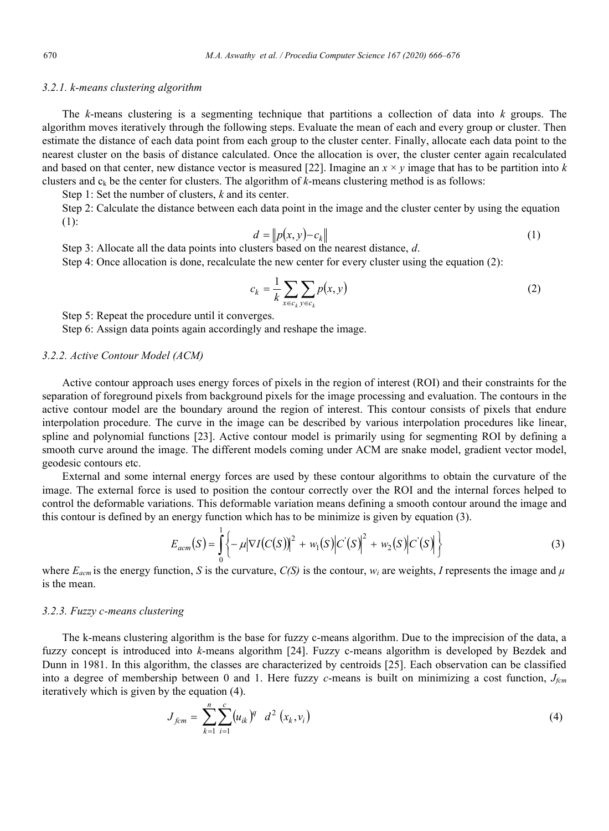#### 3.2.1. k-means clustering algorithm

The k-means clustering is a segmenting technique that partitions a collection of data into  $k$  groups. The algorithm moves iteratively through the following steps. Evaluate the mean of each and every group or cluster. Then estimate the distance of each data point from each group to the cluster center. Finally, allocate each data point to the nearest cluster on the basis of distance calculated. Once the allocation is over, the cluster center again recalculated and based on that center, new distance vector is measured [22]. Imagine an  $x \times y$  image that has to be partition into k clusters and  $c_k$  be the center for clusters. The algorithm of k-means clustering method is as follows:

Step 1: Set the number of clusters,  $k$  and its center.

Step 2: Calculate the distance between each data point in the image and the cluster center by using the equation (1):

$$
d = \|p(x, y) - c_k\| \tag{1}
$$

Step 3: Allocate all the data points into clusters based on the nearest distance, d.

Step 4: Once allocation is done, recalculate the new center for every cluster using the equation (2):

$$
c_k = \frac{1}{k} \sum_{x \in c_k} \sum_{y \in c_k} p(x, y) \tag{2}
$$

Step 5: Repeat the procedure until it converges.

Step 6: Assign data points again accordingly and reshape the image.

#### 3.2.2. Active Contour Model (ACM)

Active contour approach uses energy forces of pixels in the region of interest (ROI) and their constraints for the separation of foreground pixels from background pixels for the image processing and evaluation. The contours in the active contour model are the boundary around the region of interest. This contour consists of pixels that endure interpolation procedure. The curve in the image can be described by various interpolation procedures like linear, spline and polynomial functions [23]. Active contour model is primarily using for segmenting ROI by defining a smooth curve around the image. The different models coming under ACM are snake model, gradient vector model, geodesic contours etc.

External and some internal energy forces are used by these contour algorithms to obtain the curvature of the image. The external force is used to position the contour correctly over the ROI and the internal forces helped to control the deformable variations. This deformable variation means defining a smooth contour around the image and this contour is defined by an energy function which has to be minimize is given by equation (3).

$$
E_{acm}(S) = \int_{0}^{1} \left\{-\mu |\nabla I(C(S))|^{2} + w_{1}(S)|C(S)|^{2} + w_{2}(S)|C(S)|\right\}
$$
(3)

where  $E_{acm}$  is the energy function, S is the curvature,  $C(S)$  is the contour,  $w_i$  are weights, I represents the image and  $\mu$ is the mean.

#### 3.2.3. Fuzzy c-means clustering

The k-means clustering algorithm is the base for fuzzy c-means algorithm. Due to the imprecision of the data, a fuzzy concept is introduced into k-means algorithm [24]. Fuzzy c-means algorithm is developed by Bezdek and Dunn in 1981. In this algorithm, the classes are characterized by centroids [25]. Each observation can be classified into a degree of membership between 0 and 1. Here fuzzy c-means is built on minimizing a cost function,  $J_{fcm}$ iteratively which is given by the equation (4).

$$
J_{fcm} = \sum_{k=1}^{n} \sum_{i=1}^{c} (u_{ik})^q d^2 (x_k, v_i)
$$
 (4)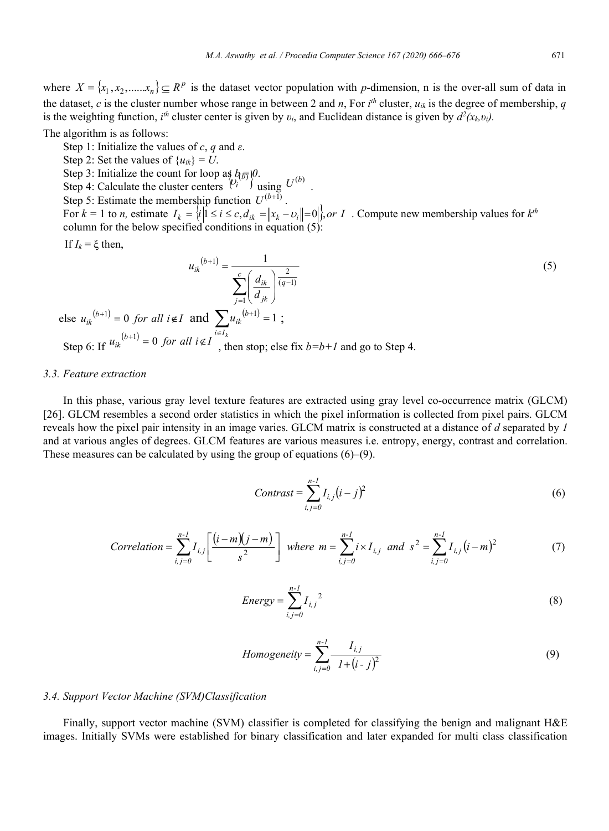where  $X = \{x_1, x_2, \dots, x_n\} \subseteq R^p$  is the dataset vector population with p-dimension, n is the over-all sum of data in the dataset, c is the cluster number whose range in between 2 and n, For  $i<sup>th</sup>$  cluster,  $u_{ik}$  is the degree of membership, q is the weighting function,  $i^h$  cluster center is given by  $v_i$ , and Euclidean distance is given by  $d^2(x_k, v_i)$ .

The algorithm is as follows:

Step 1: Initialize the values of c, q and  $\varepsilon$ .

- Step 2: Set the values of  $\{u_{ik}\}=U$ .
- 

Step 3: Initialize the count for loop as  $b_{\bar{b}}\bar{b}$  (*b*).<br>Step 4: Calculate the cluster centers  $\binom{v_i}{i}$  using  $U^{(b)}$ .

Step 5: Estimate the membership function  $U^{(b+\bar{1})}$ .

For  $k = 1$  to *n*, estimate  $I_k = \{i | 1 \le i \le c, d_{ik} = ||x_k - v_i|| = 0 \}$ , *or I* . Compute new membership values for  $k^{th}$ column for the below specified conditions in equation (5):

If  $I_k = \xi$  then,

$$
u_{ik}^{(b+1)} = \frac{1}{\sum_{j=1}^{c} \left(\frac{d_{ik}}{d_{jk}}\right)^{\frac{2}{(q-1)}}}
$$
\nelse  $u_{ik}^{(b+1)} = 0$  for all  $i \notin I$  and  $\sum_{i \in I_k} u_{ik}^{(b+1)} = 1$ ;  
\nStep 6: If  $u_{ik}^{(b+1)} = 0$  for all  $i \notin I$ , then stop; else fix  $b = b + I$  and go to Step 4.

## 3.3. Feature extraction

Step 6:

In this phase, various gray level texture features are extracted using gray level co-occurrence matrix (GLCM) [26]. GLCM resembles a second order statistics in which the pixel information is collected from pixel pairs. GLCM reveals how the pixel pair intensity in an image varies. GLCM matrix is constructed at a distance of d separated by 1 and at various angles of degrees. GLCM features are various measures i.e. entropy, energy, contrast and correlation. These measures can be calculated by using the group of equations (6)–(9).

$$
Contrast = \sum_{i,j=0}^{n-1} I_{i,j} (i-j)^2
$$
 (6)

Correlation = 
$$
\sum_{i,j=0}^{n-1} I_{i,j} \left[ \frac{(i-m)(j-m)}{s^2} \right]
$$
 where  $m = \sum_{i,j=0}^{n-1} i \times I_{i,j}$  and  $s^2 = \sum_{i,j=0}^{n-1} I_{i,j} (i-m)^2$  (7)

Energy = 
$$
\sum_{i,j=0}^{n-1} I_{i,j}^{2}
$$
 (8)

$$
Homogeneity = \sum_{i,j=0}^{n-1} \frac{I_{i,j}}{1 + (i - j)^2}
$$
(9)

## 3.4. Support Vector Machine (SVM)Classification

Finally, support vector machine (SVM) classifier is completed for classifying the benign and malignant H&E images. Initially SVMs were established for binary classification and later expanded for multi class classification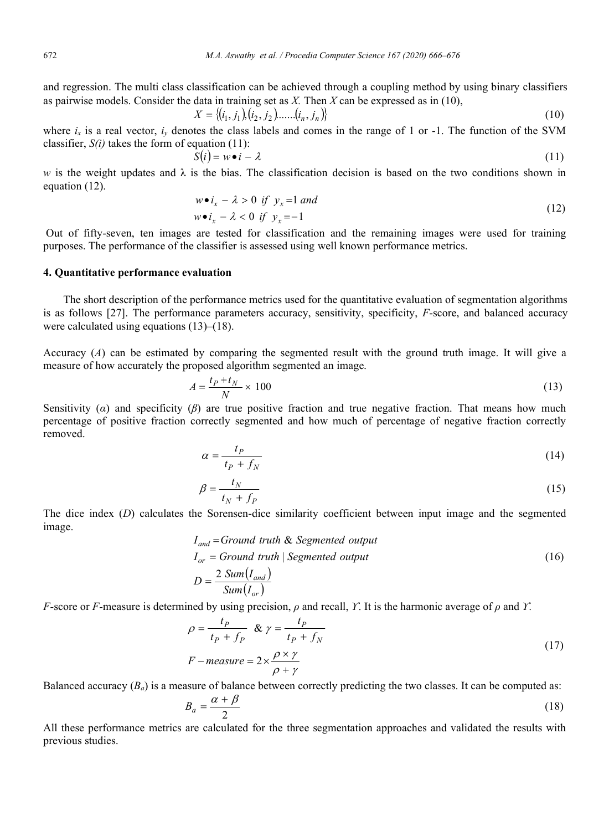and regression. The multi class classification can be achieved through a coupling method by using binary classifiers as pairwise models. Consider the data in training set as X. Then X can be expressed as in (10),

$$
X = \{(i_1, j_1), (i_2, j_2), \dots, (i_n, j_n)\}\tag{10}
$$

where  $i_x$  is a real vector,  $i_y$  denotes the class labels and comes in the range of 1 or -1. The function of the SVM classifier,  $S(i)$  takes the form of equation (11):

$$
S(i) = w \bullet i - \lambda \tag{11}
$$

w is the weight updates and  $\lambda$  is the bias. The classification decision is based on the two conditions shown in equation (12).

$$
w \bullet i_x - \lambda > 0 \text{ if } y_x = 1 \text{ and}
$$
  
\n
$$
w \bullet i_x - \lambda < 0 \text{ if } y_x = -1
$$
\n(12)

 Out of fifty-seven, ten images are tested for classification and the remaining images were used for training purposes. The performance of the classifier is assessed using well known performance metrics.

# 4. Quantitative performance evaluation

The short description of the performance metrics used for the quantitative evaluation of segmentation algorithms is as follows [27]. The performance parameters accuracy, sensitivity, specificity, F-score, and balanced accuracy were calculated using equations (13)–(18).

Accuracy  $(A)$  can be estimated by comparing the segmented result with the ground truth image. It will give a measure of how accurately the proposed algorithm segmented an image.

$$
A = \frac{t_P + t_N}{N} \times 100\tag{13}
$$

Sensitivity ( $\alpha$ ) and specificity ( $\beta$ ) are true positive fraction and true negative fraction. That means how much percentage of positive fraction correctly segmented and how much of percentage of negative fraction correctly removed.

$$
\alpha = \frac{t_P}{t_P + f_N} \tag{14}
$$

$$
\beta = \frac{t_N}{t_N + f_P} \tag{15}
$$

The dice index (D) calculates the Sorensen-dice similarity coefficient between input image and the segmented image.

$$
I_{and} = Ground \ truth \& Segmented \ output
$$
  
\n
$$
I_{or} = Ground \ truth \ | \ Segmented \ output
$$
  
\n
$$
D = \frac{2 \ Sum(I_{and})}{Sum(I_{or})}
$$
\n(16)

F-score or F-measure is determined by using precision,  $\rho$  and recall, Y. It is the harmonic average of  $\rho$  and Y.

$$
\rho = \frac{t_P}{t_P + f_P} \& \gamma = \frac{t_P}{t_P + f_N}
$$
  
F-measure =  $2 \times \frac{\rho \times \gamma}{\rho + \gamma}$  (17)

Balanced accuracy  $(B_a)$  is a measure of balance between correctly predicting the two classes. It can be computed as:

$$
B_a = \frac{\alpha + \beta}{2} \tag{18}
$$

All these performance metrics are calculated for the three segmentation approaches and validated the results with previous studies.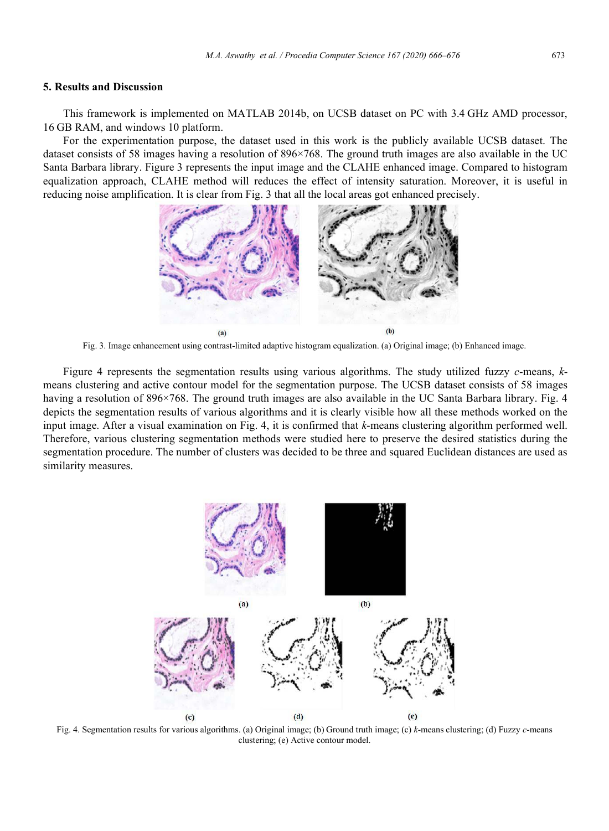#### 5. Results and Discussion

This framework is implemented on MATLAB 2014b, on UCSB dataset on PC with 3.4 GHz AMD processor, 16 GB RAM, and windows 10 platform.

For the experimentation purpose, the dataset used in this work is the publicly available UCSB dataset. The dataset consists of 58 images having a resolution of 896×768. The ground truth images are also available in the UC Santa Barbara library. Figure 3 represents the input image and the CLAHE enhanced image. Compared to histogram equalization approach, CLAHE method will reduces the effect of intensity saturation. Moreover, it is useful in reducing noise amplification. It is clear from Fig. 3 that all the local areas got enhanced precisely.



Fig. 3. Image enhancement using contrast-limited adaptive histogram equalization. (a) Original image; (b) Enhanced image.

Figure 4 represents the segmentation results using various algorithms. The study utilized fuzzy  $c$ -means,  $k$ means clustering and active contour model for the segmentation purpose. The UCSB dataset consists of 58 images having a resolution of 896×768. The ground truth images are also available in the UC Santa Barbara library. Fig. 4 depicts the segmentation results of various algorithms and it is clearly visible how all these methods worked on the input image. After a visual examination on Fig. 4, it is confirmed that k-means clustering algorithm performed well. Therefore, various clustering segmentation methods were studied here to preserve the desired statistics during the segmentation procedure. The number of clusters was decided to be three and squared Euclidean distances are used as similarity measures.



Fig. 4. Segmentation results for various algorithms. (a) Original image; (b) Ground truth image; (c) k-means clustering; (d) Fuzzy c-means clustering; (e) Active contour model.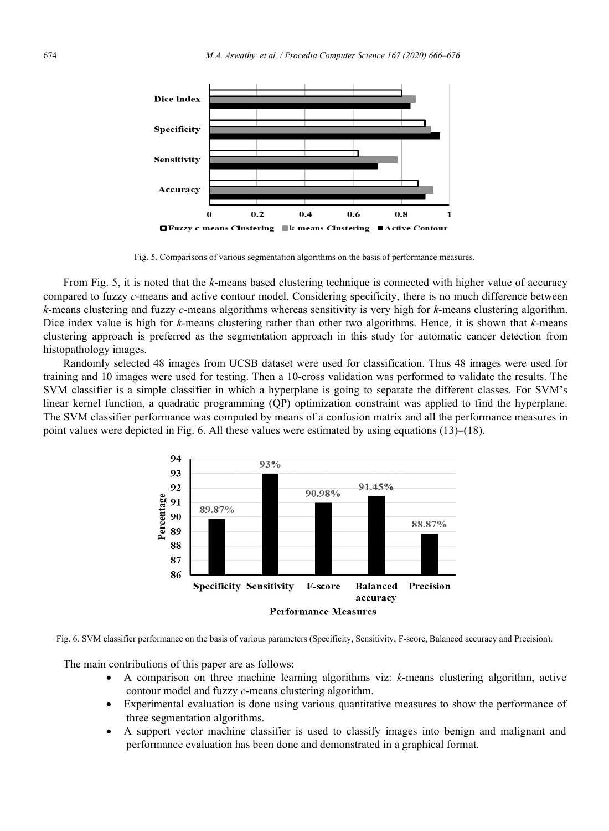

Fig. 5. Comparisons of various segmentation algorithms on the basis of performance measures.

From Fig. 5, it is noted that the k-means based clustering technique is connected with higher value of accuracy compared to fuzzy c-means and active contour model. Considering specificity, there is no much difference between  $k$ -means clustering and fuzzy c-means algorithms whereas sensitivity is very high for  $k$ -means clustering algorithm. Dice index value is high for  $k$ -means clustering rather than other two algorithms. Hence, it is shown that  $k$ -means clustering approach is preferred as the segmentation approach in this study for automatic cancer detection from histopathology images.

Randomly selected 48 images from UCSB dataset were used for classification. Thus 48 images were used for training and 10 images were used for testing. Then a 10-cross validation was performed to validate the results. The SVM classifier is a simple classifier in which a hyperplane is going to separate the different classes. For SVM's linear kernel function, a quadratic programming (QP) optimization constraint was applied to find the hyperplane. The SVM classifier performance was computed by means of a confusion matrix and all the performance measures in point values were depicted in Fig. 6. All these values were estimated by using equations (13)–(18).



Fig. 6. SVM classifier performance on the basis of various parameters (Specificity, Sensitivity, F-score, Balanced accuracy and Precision).

The main contributions of this paper are as follows:

- A comparison on three machine learning algorithms viz: k-means clustering algorithm, active contour model and fuzzy c-means clustering algorithm.
- Experimental evaluation is done using various quantitative measures to show the performance of three segmentation algorithms.
- A support vector machine classifier is used to classify images into benign and malignant and performance evaluation has been done and demonstrated in a graphical format.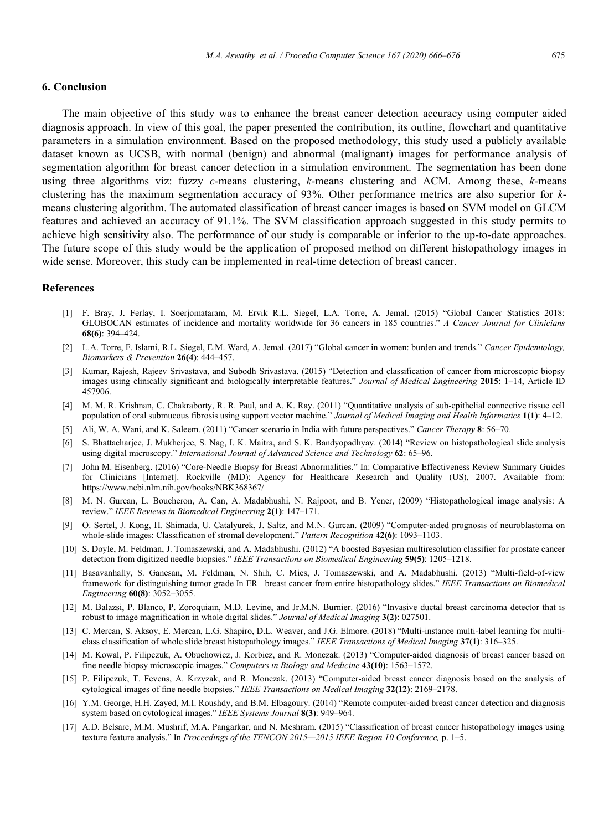# 6. Conclusion

The main objective of this study was to enhance the breast cancer detection accuracy using computer aided diagnosis approach. In view of this goal, the paper presented the contribution, its outline, flowchart and quantitative parameters in a simulation environment. Based on the proposed methodology, this study used a publicly available dataset known as UCSB, with normal (benign) and abnormal (malignant) images for performance analysis of segmentation algorithm for breast cancer detection in a simulation environment. The segmentation has been done using three algorithms viz: fuzzy  $c$ -means clustering,  $k$ -means clustering and ACM. Among these,  $k$ -means clustering has the maximum segmentation accuracy of 93%. Other performance metrics are also superior for kmeans clustering algorithm. The automated classification of breast cancer images is based on SVM model on GLCM features and achieved an accuracy of 91.1%. The SVM classification approach suggested in this study permits to achieve high sensitivity also. The performance of our study is comparable or inferior to the up-to-date approaches. The future scope of this study would be the application of proposed method on different histopathology images in wide sense. Moreover, this study can be implemented in real-time detection of breast cancer.

# References

- [1] F. Bray, J. Ferlay, I. Soerjomataram, M. Ervik R.L. Siegel, L.A. Torre, A. Jemal. (2015) "Global Cancer Statistics 2018: GLOBOCAN estimates of incidence and mortality worldwide for 36 cancers in 185 countries." A Cancer Journal for Clinicians 68(6): 394–424.
- [2] L.A. Torre, F. Islami, R.L. Siegel, E.M. Ward, A. Jemal. (2017) "Global cancer in women: burden and trends." Cancer Epidemiology, Biomarkers & Prevention 26(4): 444–457.
- [3] Kumar, Rajesh, Rajeev Srivastava, and Subodh Srivastava. (2015) "Detection and classification of cancer from microscopic biopsy images using clinically significant and biologically interpretable features." Journal of Medical Engineering 2015: 1-14, Article ID 457906.
- [4] M. M. R. Krishnan, C. Chakraborty, R. R. Paul, and A. K. Ray. (2011) "Quantitative analysis of sub-epithelial connective tissue cell population of oral submucous fibrosis using support vector machine." Journal of Medical Imaging and Health Informatics 1(1): 4–12.
- [5] Ali, W. A. Wani, and K. Saleem. (2011) "Cancer scenario in India with future perspectives." Cancer Therapy 8: 56–70.
- [6] S. Bhattacharjee, J. Mukherjee, S. Nag, I. K. Maitra, and S. K. Bandyopadhyay. (2014) "Review on histopathological slide analysis using digital microscopy." International Journal of Advanced Science and Technology 62: 65-96.
- [7] John M. Eisenberg. (2016) "Core-Needle Biopsy for Breast Abnormalities." In: Comparative Effectiveness Review Summary Guides for Clinicians [Internet]. Rockville (MD): Agency for Healthcare Research and Quality (US), 2007. Available from: https://www.ncbi.nlm.nih.gov/books/NBK368367/
- [8] M. N. Gurcan, L. Boucheron, A. Can, A. Madabhushi, N. Rajpoot, and B. Yener, (2009) "Histopathological image analysis: A review." IEEE Reviews in Biomedical Engineering 2(1): 147–171.
- [9] O. Sertel, J. Kong, H. Shimada, U. Catalyurek, J. Saltz, and M.N. Gurcan. (2009) "Computer-aided prognosis of neuroblastoma on whole-slide images: Classification of stromal development." Pattern Recognition 42(6): 1093-1103.
- [10] S. Doyle, M. Feldman, J. Tomaszewski, and A. Madabhushi. (2012) "A boosted Bayesian multiresolution classifier for prostate cancer detection from digitized needle biopsies." IEEE Transactions on Biomedical Engineering 59(5): 1205–1218.
- [11] Basavanhally, S. Ganesan, M. Feldman, N. Shih, C. Mies, J. Tomaszewski, and A. Madabhushi. (2013) "Multi-field-of-view framework for distinguishing tumor grade In ER+ breast cancer from entire histopathology slides." IEEE Transactions on Biomedical Engineering 60(8): 3052–3055.
- [12] M. Balazsi, P. Blanco, P. Zoroquiain, M.D. Levine, and Jr.M.N. Burnier. (2016) "Invasive ductal breast carcinoma detector that is robust to image magnification in whole digital slides." Journal of Medical Imaging 3(2): 027501.
- [13] C. Mercan, S. Aksoy, E. Mercan, L.G. Shapiro, D.L. Weaver, and J.G. Elmore. (2018) "Multi-instance multi-label learning for multiclass classification of whole slide breast histopathology images." IEEE Transactions of Medical Imaging 37(1): 316–325.
- [14] M. Kowal, P. Filipczuk, A. Obuchowicz, J. Korbicz, and R. Monczak. (2013) "Computer-aided diagnosis of breast cancer based on fine needle biopsy microscopic images." Computers in Biology and Medicine 43(10): 1563–1572.
- [15] P. Filipczuk, T. Fevens, A. Krzyzak, and R. Monczak. (2013) "Computer-aided breast cancer diagnosis based on the analysis of cytological images of fine needle biopsies." IEEE Transactions on Medical Imaging 32(12): 2169–2178.
- [16] Y.M. George, H.H. Zayed, M.I. Roushdy, and B.M. Elbagoury. (2014) "Remote computer-aided breast cancer detection and diagnosis system based on cytological images." IEEE Systems Journal 8(3): 949–964.
- [17] A.D. Belsare, M.M. Mushrif, M.A. Pangarkar, and N. Meshram. (2015) "Classification of breast cancer histopathology images using texture feature analysis." In Proceedings of the TENCON 2015-2015 IEEE Region 10 Conference, p. 1-5.